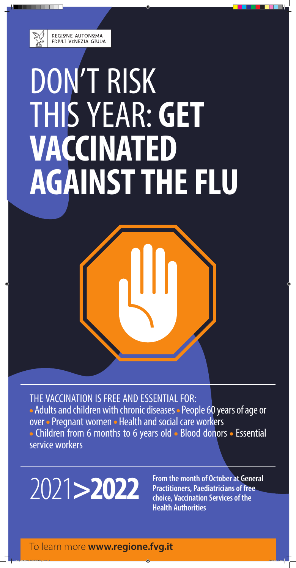

REGIONE AUTONOMA FRIULI VENEZIA GIULIA

# DON'T RISK THIS YEAR: **GET VACCINATED AGAINST THE FLU**



**2022** From the month of October at General<br> **Practitioners, Paediatricians of free**<br> **Choice Vaccination Services of the Practitioners, Paediatricians of free choice, Vaccination Services of the Health Authorities**

THE VACCINATION IS FREE AND ESSENTIAL FOR: • Adults and children with chronic diseases • People 60 years of age or over • Pregnant women • Health and social care workers • Children from 6 months to 6 years old • Blood donors • Essential service workers

#### To learn more **www.regione.fvg.it**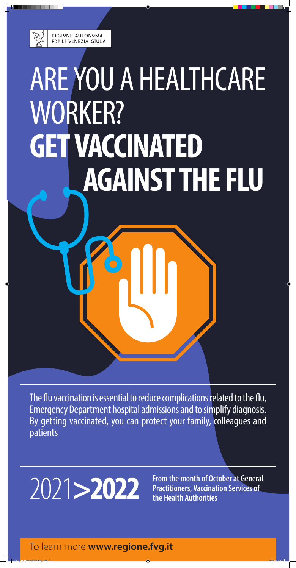

# ARE YOU A HEALTHCARE WORKER? **GET VACCINATED AGAINST THE FLU**

**Practitioners, Vaccination Services of the Health Authorities** 

The flu vaccination is essential to reduce complications related to the flu, Emergency Department hospital admissions and to simplify diagnosis. By getting vaccinated, you can protect your family, colleagues and patients

### **2022** From the month of October at General Practitioners, Vaccination Services of the Health Authorities

### To learn more **www.regione.fvg.it**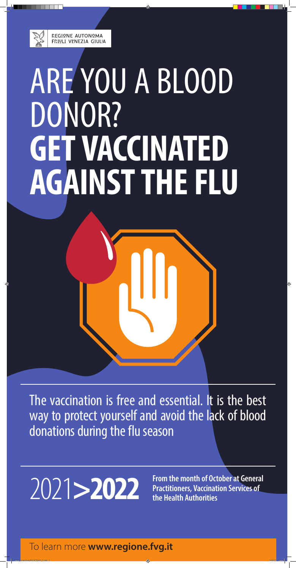

REGIONE AUTONOMA FRIULI VENEZIA GIULIA

# ARE YOU A BLOOD DONOR? **GET VACCINATED AGAINST THE FLU**



### 2021**>2022**

The vaccination is free and essential. It is the best way to protect yourself and avoid the lack of blood donations during the flu season

To learn more **www.regione.fvg.it**

**From the month of October at General Practitioners, Vaccination Services of the Health Authorities**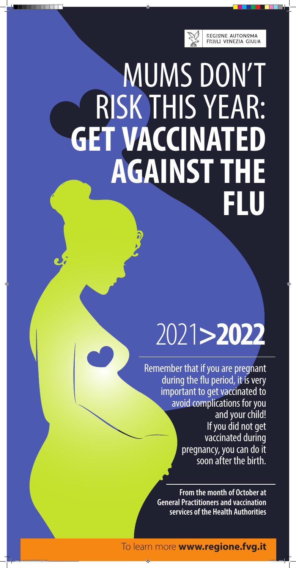

## MUMS DON'T RISK THIS YEAR: **GET VACCINATED AGAINST THE FLU**

# 2021**>2022**

### To learn more **www.regione.fvg.it**

Remember that if you are pregnant during the flu period, it is very important to get vaccinated to avoid complications for you and your child! If you did not get vaccinated during pregnancy, you can do it soon after the birth.

> **From the month of October at General Practitioners and vaccination services of the Health Authorities**